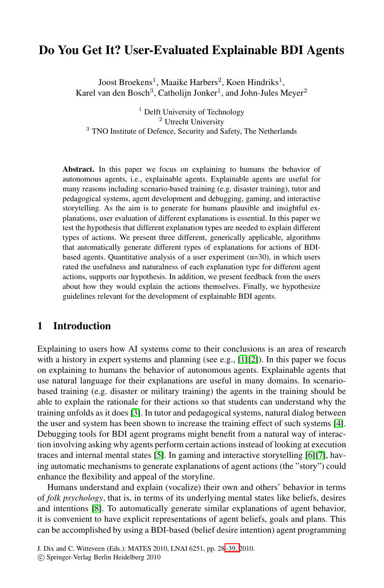# **Do You Get It? User-Evaluated Explainable BDI Agents**

Joost Broekens<sup>1</sup>, Maaike Harbers<sup>2</sup>, Koen Hindriks<sup>1</sup>, Karel van den Bosch<sup>3</sup>, Catholijn Jonker<sup>1</sup>, and John-Jules Meyer<sup>2</sup>

<sup>1</sup> Delft University of Technology <sup>2</sup> Utrecht University <sup>3</sup> TNO Institute of Defence, Security and Safety, The Netherlands

**Abstract.** In this paper we focus on explaining to humans the behavior of autonomous agents, i.e., explainable agents. Explainable agents are useful for many reasons including scenario-based training (e.g. disaster training), tutor and pedagogical systems, agent development and debugging, gaming, and interactive storytelling. As the aim is to generate for humans plausible and insightful explanations, user evaluation of different explanations is essential. In this paper we test the hypothesis that different explanation types are needed to explain different types of actions. We present three different, generically applicable, algorithms that automatically generate different types of explanations for actions of BDIbased agents. Quantitative analysis of a user experiment (n=30), in which users rated the usefulness and naturalness of each explanation type for different agent actions, supports our hypothesis[. In](#page-11-0) [ad](#page-11-1)dition, we present feedback from the users about how they would explain the actions themselves. Finally, we hypothesize guidelines relevant for the development of explainable BDI agents.

## **1 I[nt](#page-11-2)roduction**

Explaining to users how AI systems come to their conclusions is an area of research with a history in expert systems and planning (see e.g.,  $[1][2]$ ). In this paper we focus on explainin[g](#page-11-3) to humans the behavior of autonomous [ag](#page-11-4)[en](#page-11-5)ts. Explainable agents that use natural language for their explanations are useful in many domains. In scenariobased training (e.g. disaster or military training) the agents in the training should be able to explain the rationale for their actions so that students can understand why the training unfolds as it does [3]. In tutor and pedagogical systems, natural dialog between the user and system has been shown to increase the training effect of such systems [4]. Debugging tools for BDI agent programs might benefit from a natural way of interaction involving asking why agents perform certain actions instead of looking at execution traces and internal mental states [5]. In gaming and interactive storytelling [6][7], having automatic mechanisms to ge[nera](#page-11-6)te explanations of agent actions (the "story") could enhance the flexibility and appeal of the storyline.

Humans understand and explain (vocalize) their own and others' behavior in terms of *folk psychology*, that is, in terms of its underlying mental states like beliefs, desires and intentions [8]. To automatically generate similar explanations of agent behavior, it is convenient to have explicit representations of agent beliefs, goals and plans. This can be accomplished by using a BDI-based (belief desire intention) agent programming

J. Dix and C. Witteveen (Eds.): MATES 2010, LNAI 6251, pp. 28–39, 2010.

<sup>-</sup>c Springer-Verlag Berlin Heidelberg 2010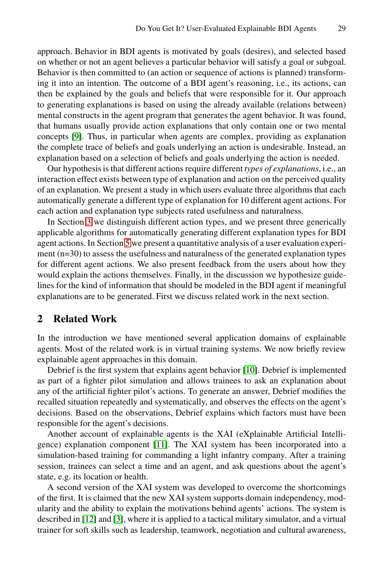approach. Behavior in BDI agents is motivated by goals (desires), and selected based on whether or not an agent believes a particular behavior will satisfy a goal or subgoal. Behavior is then committed to (an action or sequence of actions is planned) transforming it into an intention. The outcome of a BDI agent's reasoning, i.e., its actions, can then be explained by the goals and beliefs that were responsible for it. Our approach to generating explanations is based on using the already available (relations between) mental constructs in the agent program that generates the agent behavior. It was found, that humans usually provide action explanations that only contain one or two mental concepts [9]. Thus, in particular when agents are complex, providing as explanation the complete trace of beliefs and goals underlying an action is undesirable. Instead, an exp[lan](#page-6-0)ation based on a selection of beliefs and goals underlying the action is needed.

Our hypothesis is that different actions require different *types of explanations*, i.e., an interaction effect exists between type of explanation and action on the perceived quality of an explanation. We present a study in which users evaluate three algorithms that each automatically generate a different type of explanation for 10 different agent actions. For each action and explanation type subjects rated usefulness and naturalness.

In Section 3 we distinguish different action types, and we present three generically applicable algorithms for automatically generating different explanation types for BDI agent actions. In Section 5 we present a quantitative analysis of a user evaluation experiment (n=30) to assess the usefulness and naturalness of the generated explanation types for different agent actions. We also present feedback from the users about how they would explain the actions themselves. Finally, in the discussion we hypothesize guidelines for the kind of information that [shou](#page-11-7)ld be modeled in the BDI agent if meaningful explanations are to be generated. First we discuss related work in the next section.

## **2 Related Work**

In the introduction we have mentioned several application domains of explainable agents. Most of the related work is in virtual training systems. We now briefly review explainable [age](#page-11-8)nt approaches in this domain.

Debrief is the first system that explains agent behavior [10]. Debrief is implemented as part of a fighter pilot simulation and allows trainees to ask an explanation about any of the artificial fighter pilot's actions. To generate an answer, Debrief modifies the recalled situation repeatedly and systematically, and observes the effects on the agent's decisions. Based on the observations, Debrief explains which factors must have been responsible for the agent's decisions.

[A](#page-11-2)nother account of explainable agents is the XAI (eXplainable Artificial Intelligence) explanation component [11]. The XAI system has been incorporated into a simulation-based training for commanding a light infantry company. After a training session, trainees can select a time and an agent, and ask questions about the agent's state, e.g. its location or health.

A second version of the XAI system was developed to overcome the shortcomings of the first. It is claimed that the new XAI system supports domain independency, modularity and the ability to explain the motivations behind agents' actions. The system is described in [12] and [3], where it is applied to a tactical military simulator, and a virtual trainer for soft skills such as leadership, teamwork, negotiation and cultural awareness,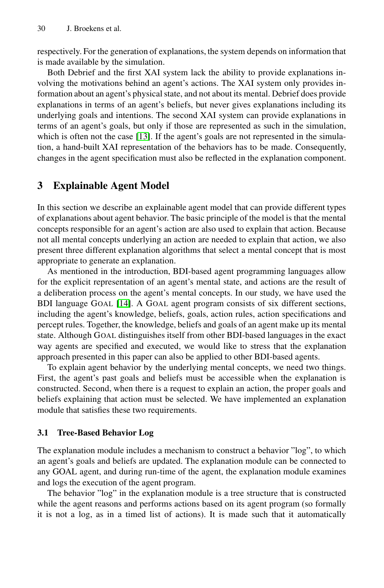30 J. Broekens et al.

respect[ivel](#page-11-9)y. For the generation of explanations, the system depends on information that is made available by the simulation.

Both Debrief and the first XAI system lack the ability to provide explanations involving the motivations behind an agent's actions. The XAI system only provides information about an agent's physical state, and not about its mental. Debrief does provide explanations in terms of an agent's beliefs, but never gives explanations including its underlying goals and intentions. The second XAI system can provide explanations in terms of an agent's goals, but only if those are represented as such in the simulation, which is often not the case [13]. If the agent's goals are not represented in the simulation, a hand-built XAI representation of the behaviors has to be made. Consequently, changes in the agent specification must also be reflected in the explanation component.

## **3 Explainable Agent Model**

In this section we describe an explainable agent model that can provide different types of [exp](#page-11-10)lanations about agent behavior. The basic principle of the model is that the mental concepts responsible for an agent's action are also used to explain that action. Because not all mental concepts underlying an action are needed to explain that action, we also present three different explanation algorithms that select a mental concept that is most appropriate to generate an explanation.

As mentioned in the introduction, BDI-based agent programming languages allow for the explicit representation of an agent's mental state, and actions are the result of a deliberation process on the agent's mental concepts. In our study, we have used the BDI language GOAL [14]. A GOAL agent program consists of six different sections, including the agent's knowledge, beliefs, goals, action rules, action specifications and percept rules. Together, the knowledge, beliefs and goals of an agent make up its mental state. Although GOAL distinguishes itself from other BDI-based languages in the exact way agents are specified and executed, we would like to stress that the explanation approach presented in this paper can also be applied to other BDI-based agents.

To explain agent behavior by the underlying mental concepts, we need two things. First, the agent's past goals and beliefs must be accessible when the explanation is constructed. Second, when there is a request to explain an action, the proper goals and beliefs explaining that action must be selected. We have implemented an explanation module that satisfies these two requirements.

### **3.1 Tree-Based Behavior Log**

The explanation module includes a mechanism to construct a behavior "log", to which an agent's goals and beliefs are updated. The explanation module can be connected to any GOAL agent, and during run-time of the agent, the explanation module examines and logs the execution of the agent program.

The behavior "log" in the explanation module is a tree structure that is constructed while the agent reasons and performs actions based on its agent program (so formally it is not a log, as in a timed list of actions). It is made such that it automatically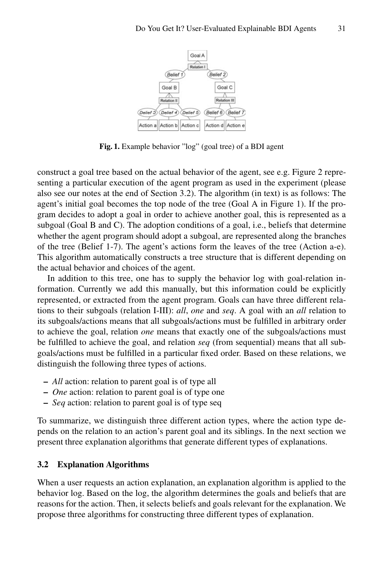

**Fig. 1.** Example behavior "log" (goal tree) of a BDI agent

construct a goal tree based on the actual behavior of the agent, see e.g. Figure 2 representing a particular execution of the agent program as used in the experiment (please also see our notes at the end of Section 3.2). The algorithm (in text) is as follows: The agent's initial goal becomes the top node of the tree (Goal A in Figure 1). If the program decides to adopt a goal in order to achieve another goal, this is represented as a subgoal (Goal B and C). The adoption conditions of a goal, i.e., beliefs that determine whether the agent program should adopt a subgoal, are represented along the branches of the tree (Belief 1-7). The agent's actions form the leaves of the tree (Action a-e). This algorithm automatically constructs a tree structure that is different depending on the actual behavior and choices of the agent.

In addition to this tree, one has to supply the behavior log with goal-relation information. Currently we add this manually, but this information could be explicitly represented, or extracted from the agent program. Goals can have three different relations to their subgoals (relation I-III): *all*, *one* and *seq*. A goal with an *all* relation to its subgoals/actions means that all subgoals/actions must be fulfilled in arbitrary order to achieve the goal, relation *one* means that exactly one of the subgoals/actions must be fulfilled to achieve the goal, and relation *seq* (from sequential) means that all subgoals/actions must be fulfilled in a particular fixed order. Based on these relations, we distinguish the following three types of actions.

- **–** *All* action: relation to parent goal is of type all
- **–** *One* action: relation to parent goal is of type one
- **–** *Seq* action: relation to parent goal is of type seq

To summarize, we distinguish three different action types, where the action type depends on the relation to an action's parent goal and its siblings. In the next section we present three explanation algorithms that generate different types of explanations.

#### **3.2 Explanation Algorithms**

When a user requests an action explanation, an explanation algorithm is applied to the behavior log. Based on the log, the algorithm determines the goals and beliefs that are reasons for the action. Then, it selects beliefs and goals relevant for the explanation. We propose three algorithms for constructing three different types of explanation.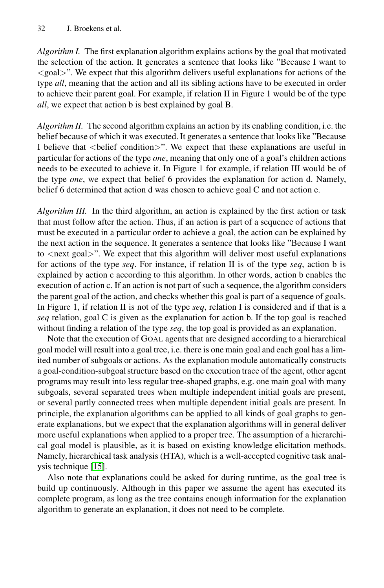### 32 J. Broekens et al.

*Algorithm I.* The first explanation algorithm explains actions by the goal that motivated the selection of the action. It generates a sentence that looks like "Because I want to *<*goal*>*". We expect that this algorithm delivers useful explanations for actions of the type *all*, meaning that the action and all its sibling actions have to be executed in order to achieve their parent goal. For example, if relation II in Figure 1 would be of the type *all*, we expect that action b is best explained by goal B.

*Algorithm II.* The second algorithm explains an action by its enabling condition, i.e. the belief because of which it was executed. It generates a sentence that looks like "Because I believe that *<*belief condition*>*". We expect that these explanations are useful in particular for actions of the type *one*, meaning that only one of a goal's children actions needs to be executed to achieve it. In Figure 1 for example, if relation III would be of the type *one*, we expect that belief 6 provides the explanation for action d. Namely, belief 6 determined that action d was chosen to achieve goal C and not action e.

*Algorithm III.* In the third algorithm, an action is explained by the first action or task that must follow after the action. Thus, if an action is part of a sequence of actions that must be executed in a particular order to achieve a goal, the action can be explained by the next action in the sequence. It generates a sentence that looks like "Because I want to *<*next goal*>*". We expect that this algorithm will deliver most useful explanations for actions of the type *seq*. For instance, if relation II is of the type *seq*, action b is explained by action c according to this algorithm. In other words, action b enables the execution of action c. If an action is not part of such a sequence, the algorithm considers the parent goal of the action, and checks whether this goal is part of a sequence of goals. In Figure 1, if relation II is not of the type *seq*, relation I is considered and if that is a *seq* relation, goal C is given as the explanation for action b. If the top goal is reached without finding a relation of the type *seq*, the top goal is provided as an explanation.

Note that the execution of GOAL agents that are designed according to a hierarchical goal model will result into a goal tree, i.e. there is one main goal and each goal has a limited number of subgoals or actions. As the explanation module automatically constructs a goal-condition-subgoal structure based on the execution trace of the agent, other agent programs may result into less regular tree-shaped graphs, e.g. one main goal with many subgoals, several separated trees when multiple independent initial goals are present, or several partly connected trees when multiple dependent initial goals are present. In principle, the explanation algorithms can be applied to all kinds of goal graphs to generate explanations, but we expect that the explanation algorithms will in general deliver more useful explanations when applied to a proper tree. The assumption of a hierarchical goal model is plausible, as it is based on existing knowledge elicitation methods. Namely, hierarchical task analysis (HTA), which is a well-accepted cognitive task analysis technique [15].

Also note that explanations could be asked for during runtime, as the goal tree is build up continuously. Although in this paper we assume the agent has executed its complete program, as long as the tree contains enough information for the explanation algorithm to generate an explanation, it does not need to be complete.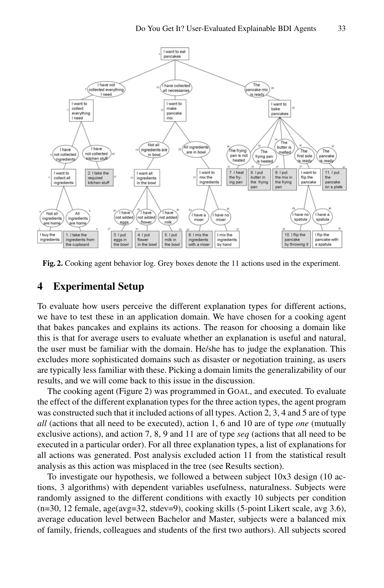

**Fig. 2.** Cooking agent behavior log. Grey boxes denote the 11 actions used in the experiment.

## **4 Experimental Setup**

To evaluate how users perceive the different explanation types for different actions, we have to test these in an application domain. We have chosen for a cooking agent that bakes pancakes and explains its actions. The reason for choosing a domain like this is that for average users to evaluate whether an explanation is useful and natural, the user must be familiar with the domain. He/she has to judge the explanation. This excludes more sophisticated domains such as disaster or negotiation training, as users are typically less familiar with these. Picking a domain limits the generalizability of our results, and we will come back to this issue in the discussion.

The cooking agent (Figure 2) was programmed in GOAL, and executed. To evaluate the effect of the different explanation types for the three action types, the agent program was constructed such that it included actions of all types. Action 2, 3, 4 and 5 are of type *all* (actions that all need to be executed), action 1, 6 and 10 are of type *one* (mutually exclusive actions), and action 7, 8, 9 and 11 are of type *seq* (actions that all need to be executed in a particular order). For all three explanation types, a list of explanations for all actions was generated. Post analysis excluded action 11 from the statistical result analysis as this action was misplaced in the tree (see Results section).

To investigate our hypothesis, we followed a between subject 10x3 design (10 actions, 3 algorithms) with dependent variables usefulness, naturalness. Subjects were randomly assigned to the different conditions with exactly 10 subjects per condition (n=30, 12 female, age(avg=32, stdev=9), cooking skills (5-point Likert scale, avg 3.6), average education level between Bachelor and Master, subjects were a balanced mix of family, friends, colleagues and students of the first two authors). All subjects scored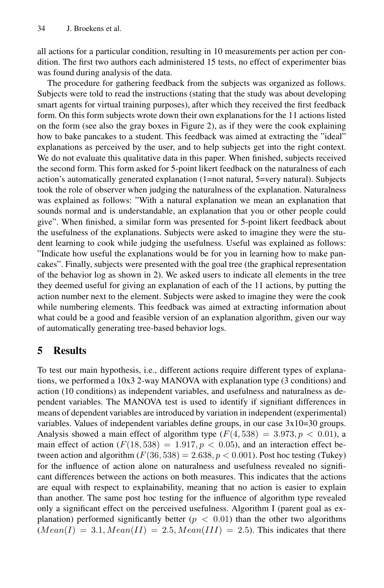all actions for a particular condition, resulting in 10 measurements per action per condition. The first two authors each administered 15 tests, no effect of experimenter bias was found during analysis of the data.

The procedure for gathering feedback from the subjects was organized as follows. Subjects were told to read the instructions (stating that the study was about developing smart agents for virtual training purposes), after which they received the first feedback form. On this form subjects wrote down their own explanations for the 11 actions listed on the form (see also the gray boxes in Figure 2), as if they were the cook explaining how to bake pancakes to a student. This feedback was aimed at extracting the "ideal" explanations as perceived by the user, and to help subjects get into the right context. We do not evaluate this qualitative data in this paper. When finished, subjects received the second form. This form asked for 5-point likert feedback on the naturalness of each action's automatically generated explanation (1=not natural, 5=very natural). Subjects took the role of observer when judging the naturalness of the explanation. Naturalness was explained as follows: "With a natural explanation we mean an explanation that sounds normal and is understandable, an explanation that you or other people could give". When finished, a similar form was presented for 5-point likert feedback about the usefulness of the explanations. Subjects were asked to imagine they were the student learning to cook while judging the usefulness. Useful was explained as follows: "Indicate how useful the explanations would be for you in learning how to make pancakes". Finally, subjects were presented with the goal tree (the graphical representation of the behavior log as shown in 2). We asked users to indicate all elements in the tree they deemed useful for giving an explanation of each of the 11 actions, by putting the action number next to the element. Subjects were asked to imagine they were the cook while numbering elements. This feedback was aimed at extracting information about what could be a good and feasible version of an explanation algorithm, given our way of automatically generating tree-based behavior logs.

# <span id="page-6-0"></span>**5 Results**

To test our main hypothesis, i.e., different actions require different types of explanations, we performed a 10x3 2-way MANOVA with explanation type (3 conditions) and action (10 conditions) as independent variables, and usefulness and naturalness as dependent variables. The MANOVA test is used to identify if signifiant differences in means of dependent variables are introduced by variation in independent (experimental) variables. Values of independent variables define groups, in our case 3x10=30 groups. Analysis showed a main effect of algorithm type  $(F(4, 538) = 3.973, p < 0.01)$ , a main effect of action  $(F(18, 538) = 1.917, p < 0.05)$ , and an interaction effect between action and algorithm  $(F(36, 538) = 2.638, p < 0.001)$ . Post hoc testing (Tukey) for the influence of action alone on naturalness and usefulness revealed no significant differences between the actions on both measures. This indicates that the actions are equal with respect to explainability, meaning that no action is easier to explain than another. The same post hoc testing for the influence of algorithm type revealed only a significant effect on the perceived usefulness. Algorithm I (parent goal as explanation) performed significantly better  $(p < 0.01)$  than the other two algorithms  $(Mean(I) = 3.1, Mean(II) = 2.5, Mean(III) = 2.5$ ). This indicates that there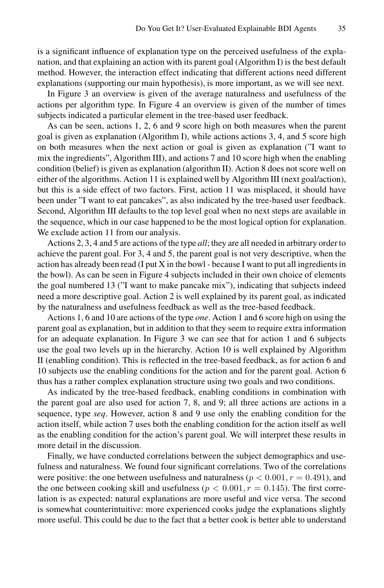is a significant influence of explanation type on the perceived usefulness of the explanation, and that explaining an action with its parent goal (Algorithm I) is the best default method. However, the interaction effect indicating that different actions need different explanations (supporting our main hypothesis), is more important, as we will see next.

In Figure 3 an overview is given of the average naturalness and usefulness of the actions per algorithm type. In Figure 4 an overview is given of the number of times subjects indicated a particular element in the tree-based user feedback.

As can be seen, actions 1, 2, 6 and 9 score high on both measures when the parent goal is given as explanation (Algorithm I), while actions actions 3, 4, and 5 score high on both measures when the next action or goal is given as explanation ("I want to mix the ingredients", Algorithm III), and actions 7 and 10 score high when the enabling condition (belief) is given as explanation (algorithm II). Action 8 does not score well on either of the algorithms. Action 11 is explained well by Algorithm III (next goal/action), but this is a side effect of two factors. First, action 11 was misplaced, it should have been under "I want to eat pancakes", as also indicated by the tree-based user feedback. Second, Algorithm III defaults to the top level goal when no next steps are available in the sequence, which in our case happened to be the most logical option for explanation. We exclude action 11 from our analysis.

Actions 2, 3, 4 and 5 are actions of the type *all*; they are all needed in arbitrary order to achieve the parent goal. For 3, 4 and 5, the parent goal is not very descriptive, when the action has already been read  $(I \text{ put } X$  in the bowl - because I want to put all ingredients in the bowl). As can be seen in Figure 4 subjects included in their own choice of elements the goal numbered 13 ("I want to make pancake mix"), indicating that subjects indeed need a more descriptive goal. Action 2 is well explained by its parent goal, as indicated by the naturalness and usefulness feedback as well as the tree-based feedback.

Actions 1, 6 and 10 are actions of the type *one*. Action 1 and 6 score high on using the parent goal as explanation, but in addition to that they seem to require extra information for an adequate explanation. In Figure 3 we can see that for action 1 and 6 subjects use the goal two levels up in the hierarchy. Action 10 is well explained by Algorithm II (enabling condition). This is reflected in the tree-based feedback, as for action 6 and 10 subjects use the enabling conditions for the action and for the parent goal. Action 6 thus has a rather complex explanation structure using two goals and two conditions.

As indicated by the tree-based feedback, enabling conditions in combination with the parent goal are also used for action 7, 8, and 9; all three actions are actions in a sequence, type *seq*. However, action 8 and 9 use only the enabling condition for the action itself, while action 7 uses both the enabling condition for the action itself as well as the enabling condition for the action's parent goal. We will interpret these results in more detail in the discussion.

Finally, we have conducted correlations between the subject demographics and usefulness and naturalness. We found four significant correlations. Two of the correlations were positive: the one between usefulness and naturalness ( $p < 0.001$ ,  $r = 0.491$ ), and the one between cooking skill and usefulness ( $p < 0.001, r = 0.145$ ). The first correlation is as expected: natural explanations are more useful and vice versa. The second is somewhat counterintuitive: more experienced cooks judge the explanations slightly more useful. This could be due to the fact that a better cook is better able to understand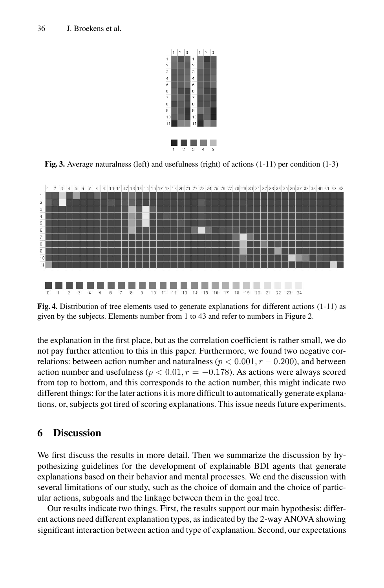

**Fig. 3.** Average naturalness (left) and usefulness (right) of actions (1-11) per condition (1-3)



**Fig. 4.** Distribution of tree elements used to generate explanations for different actions (1-11) as given by the subjects. Elements number from 1 to 43 and refer to numbers in Figure 2.

the explanation in the first place, but as the correlation coefficient is rather small, we do not pay further attention to this in this paper. Furthermore, we found two negative correlations: between action number and naturalness ( $p < 0.001, r - 0.200$ ), and between action number and usefulness ( $p < 0.01, r = -0.178$ ). As actions were always scored from top to bottom, and this corresponds to the action number, this might indicate two different things: for the later actions it is more difficult to automatically generate explanations, or, subjects got tired of scoring explanations. This issue needs future experiments.

# **6 Discussion**

We first discuss the results in more detail. Then we summarize the discussion by hypothesizing guidelines for the development of explainable BDI agents that generate explanations based on their behavior and mental processes. We end the discussion with several limitations of our study, such as the choice of domain and the choice of particular actions, subgoals and the linkage between them in the goal tree.

Our results indicate two things. First, the results support our main hypothesis: different actions need different explanation types, as indicated by the 2-way ANOVA showing significant interaction between action and type of explanation. Second, our expectations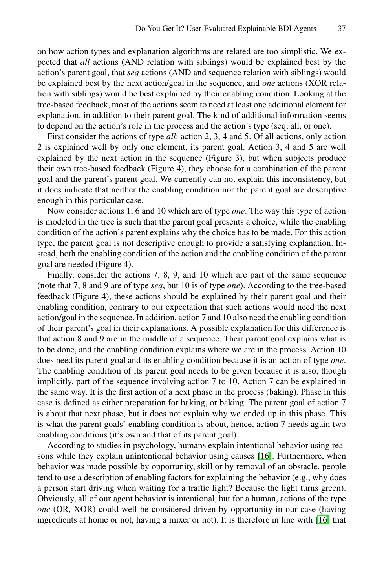on how action types and explanation algorithms are related are too simplistic. We expected that *all* actions (AND relation with siblings) would be explained best by the action's parent goal, that *seq* actions (AND and sequence relation with siblings) would be explained best by the next action/goal in the sequence, and *one* actions (XOR relation with siblings) would be best explained by their enabling condition. Looking at the tree-based feedback, most of the actions seem to need at least one additional element for explanation, in addition to their parent goal. The kind of additional information seems to depend on the action's role in the process and the action's type (seq, all, or one).

First consider the actions of type *all*: action 2, 3, 4 and 5. Of all actions, only action 2 is explained well by only one element, its parent goal. Action 3, 4 and 5 are well explained by the next action in the sequence (Figure 3), but when subjects produce their own tree-based feedback (Figure 4), they choose for a combination of the parent goal and the parent's parent goal. We currently can not explain this inconsistency, but it does indicate that neither the enabling condition nor the parent goal are descriptive enough in this particular case.

Now consider actions 1, 6 and 10 which are of type *one*. The way this type of action is modeled in the tree is such that the parent goal presents a choice, while the enabling condition of the action's parent explains why the choice has to be made. For this action type, the parent goal is not descriptive enough to provide a satisfying explanation. Instead, both the enabling condition of the action and the enabling condition of the parent goal are needed (Figure 4).

Finally, consider the actions 7, 8, 9, and 10 which are part of the same sequence (note that 7, 8 and 9 are of type *seq*, but 10 is of type *one*). According to the tree-based feedback (Figure 4), these actions should be explained by their parent goal and their enabling condition, contrary to our expectation that such actions would need the next action/goal in the sequence. In addition, action 7 and 10 also need the enabling condition of their parent's goal in their explanations. A possible explanation for this difference is that action 8 and 9 are in the middle of a sequence. Their parent goal explains what is to be done, and the enabling condition explains where we are in the process. Action 10 does need its parent goal and its enabling condition because it is an action of type *one*. The enabling condition of its parent goal [ne](#page-11-11)eds to be given because it is also, though implicitly, part of the sequence involving action 7 to 10. Action 7 can be explained in the same way. It is the first action of a next phase in the process (baking). Phase in this case is defined as either preparation for baking, or baking. The parent goal of action 7 is about that next phase, but it does not explain why we ended up in this phase. This is what the parent goals' enabling condition is about, hence, action 7 needs again two enabling conditions (it's own and that of its parent goal).

According to studies in psychology, humans explain in[tent](#page-11-11)ional behavior using reasons while they explain unintentional behavior using causes [16]. Furthermore, when behavior was made possible by opportunity, skill or by removal of an obstacle, people tend to use a description of enabling factors for explaining the behavior (e.g., why does a person start driving when waiting for a traffic light? Because the light turns green). Obviously, all of our agent behavior is intentional, but for a human, actions of the type *one* (OR, XOR) could well be considered driven by opportunity in our case (having ingredients at home or not, having a mixer or not). It is therefore in line with [16] that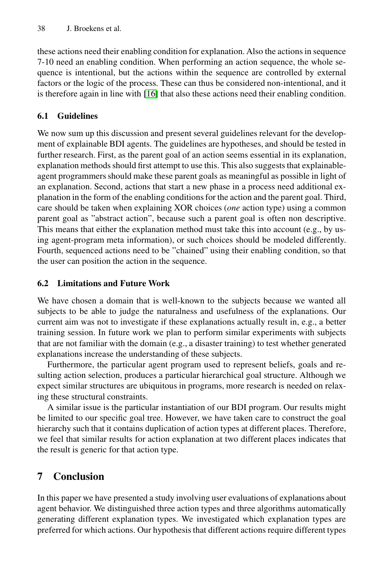#### 38 J. Broekens et al.

these actions need their enabling condition for explanation. Also the actions in sequence 7-10 need an enabling condition. When performing an action sequence, the whole sequence is intentional, but the actions within the sequence are controlled by external factors or the logic of the process. These can thus be considered non-intentional, and it is therefore again in line with [16] that also these actions need their enabling condition.

### **6.1 Guidelines**

We now sum up this discussion and present several guidelines relevant for the development of explainable BDI agents. The guidelines are hypotheses, and should be tested in further research. First, as the parent goal of an action seems essential in its explanation, explanation methods should first attempt to use this. This also suggests that explainableagent programmers should make these parent goals as meaningful as possible in light of an explanation. Second, actions that start a new phase in a process need additional explanation in the form of the enabling conditions for the action and the parent goal. Third, care should be taken when explaining XOR choices (*one* action type) using a common parent goal as "abstract action", because such a parent goal is often non descriptive. This means that either the explanation method must take this into account (e.g., by using agent-program meta information), or such choices should be modeled differently. Fourth, sequenced actions need to be "chained" using their enabling condition, so that the user can position the action in the sequence.

### **6.2 Limitations and Future Work**

We have chosen a domain that is well-known to the subjects because we wanted all subjects to be able to judge the naturalness and usefulness of the explanations. Our current aim was not to investigate if these explanations actually result in, e.g., a better training session. In future work we plan to perform similar experiments with subjects that are not familiar with the domain (e.g., a disaster training) to test whether generated explanations increase the understanding of these subjects.

Furthermore, the particular agent program used to represent beliefs, goals and resulting action selection, produces a particular hierarchical goal structure. Although we expect similar structures are ubiquitous in programs, more research is needed on relaxing these structural constraints.

A similar issue is the particular instantiation of our BDI program. Our results might be limited to our specific goal tree. However, we have taken care to construct the goal hierarchy such that it contains duplication of action types at different places. Therefore, we feel that similar results for action explanation at two different places indicates that the result is generic for that action type.

### **7 Conclusion**

In this paper we have presented a study involving user evaluations of explanations about agent behavior. We distinguished three action types and three algorithms automatically generating different explanation types. We investigated which explanation types are preferred for which actions. Our hypothesis that different actions require different types